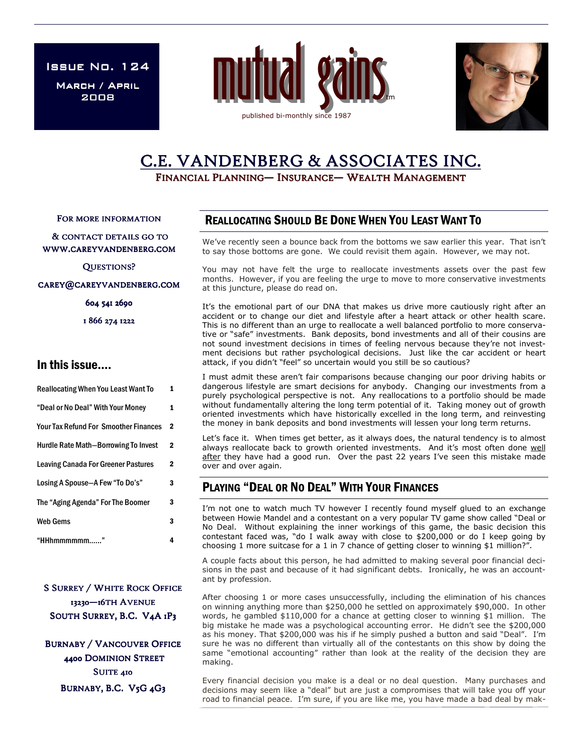ISSUE No.  $124$ 

MARCH / APRIL 2008





# C.E. VANDENBERG & ASSOCIATES INC.

FINANCIAL PLANNING— INSURANCE— WEALTH MANAGEMENT

FOR MORE INFORMATION

& CONTACT DETAILS GO TO WWW.CAREYVANDENBERG.COM

QUESTIONS?

CAREY@CAREYVANDENBERG.COM

604 541 2690

1 866 274 1222

## In this issue….

| <b>Reallocating When You Least Want To</b>   | 1 |
|----------------------------------------------|---|
| "Deal or No Deal" With Your Money            | 1 |
| <b>Your Tax Refund For Smoother Finances</b> | 2 |
| <b>Hurdle Rate Math-Borrowing To Invest</b>  | 2 |
| <b>Leaving Canada For Greener Pastures</b>   | 2 |
| Losing A Spouse-A Few "To Do's"              | 3 |
| The "Aging Agenda" For The Boomer            | 3 |
| <b>Web Gems</b>                              | 3 |
| "HHhmmmmmm"                                  | 4 |

**S SURREY / WHITE ROCK OFFICE** 13230-16TH AVENUE SOUTH SURREY, B.C. V4A 1P3

**BURNABY / VANCOUVER OFFICE** 4400 DOMINION STREET SUITE 410 BURNABY, B.C. V5G 4G3

## REALLOCATING SHOULD BE DONE WHEN YOU LEAST WANT TO

We've recently seen a bounce back from the bottoms we saw earlier this year. That isn't to say those bottoms are gone. We could revisit them again. However, we may not.

You may not have felt the urge to reallocate investments assets over the past few months. However, if you are feeling the urge to move to more conservative investments at this juncture, please do read on.

It's the emotional part of our DNA that makes us drive more cautiously right after an accident or to change our diet and lifestyle after a heart attack or other health scare. This is no different than an urge to reallocate a well balanced portfolio to more conservative or "safe" investments. Bank deposits, bond investments and all of their cousins are not sound investment decisions in times of feeling nervous because they're not investment decisions but rather psychological decisions. Just like the car accident or heart attack, if you didn't "feel" so uncertain would you still be so cautious?

I must admit these aren't fair comparisons because changing our poor driving habits or dangerous lifestyle are smart decisions for anybody. Changing our investments from a purely psychological perspective is not. Any reallocations to a portfolio should be made without fundamentally altering the long term potential of it. Taking money out of growth oriented investments which have historically excelled in the long term, and reinvesting the money in bank deposits and bond investments will lessen your long term returns.

Let's face it. When times get better, as it always does, the natural tendency is to almost always reallocate back to growth oriented investments. And it's most often done well after they have had a good run. Over the past 22 years I've seen this mistake made over and over again.

# PLAYING "DEAL OR NO DEAL" WITH YOUR FINANCES

I'm not one to watch much TV however I recently found myself glued to an exchange between Howie Mandel and a contestant on a very popular TV game show called "Deal or No Deal. Without explaining the inner workings of this game, the basic decision this contestant faced was, "do I walk away with close to \$200,000 or do I keep going by choosing 1 more suitcase for a 1 in 7 chance of getting closer to winning \$1 million?".

A couple facts about this person, he had admitted to making several poor financial decisions in the past and because of it had significant debts. Ironically, he was an accountant by profession.

After choosing 1 or more cases unsuccessfully, including the elimination of his chances on winning anything more than \$250,000 he settled on approximately \$90,000. In other words, he gambled \$110,000 for a chance at getting closer to winning \$1 million. The big mistake he made was a psychological accounting error. He didn't see the \$200,000 as his money. That \$200,000 was his if he simply pushed a button and said "Deal". I'm sure he was no different than virtually all of the contestants on this show by doing the same "emotional accounting" rather than look at the reality of the decision they are making.

Every financial decision you make is a deal or no deal question. Many purchases and decisions may seem like a "deal" but are just a compromises that will take you off your road to financial peace. I'm sure, if you are like me, you have made a bad deal by mak-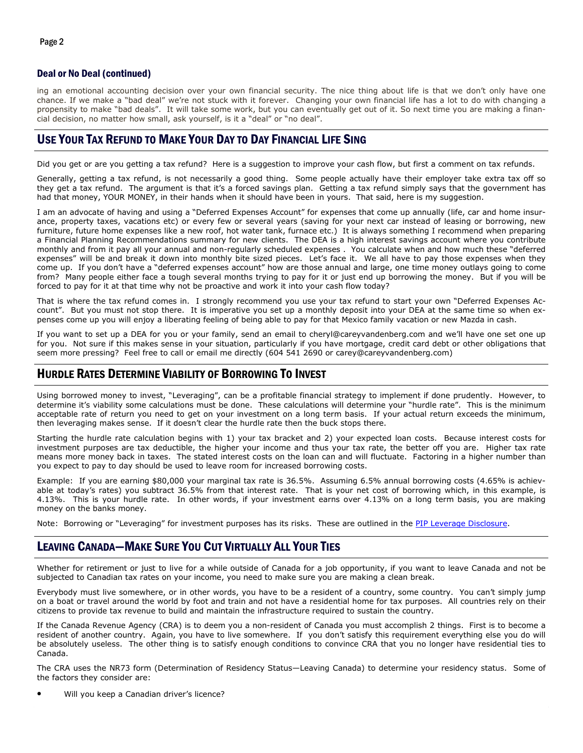#### Deal or No Deal (continued)

ing an emotional accounting decision over your own financial security. The nice thing about life is that we don't only have one chance. If we make a "bad deal" we're not stuck with it forever. Changing your own financial life has a lot to do with changing a propensity to make "bad deals". It will take some work, but you can eventually get out of it. So next time you are making a financial decision, no matter how small, ask yourself, is it a "deal" or "no deal".

#### USE YOUR TAX REFUND TO MAKE YOUR DAY TO DAY FINANCIAL LIFE SING

Did you get or are you getting a tax refund? Here is a suggestion to improve your cash flow, but first a comment on tax refunds.

Generally, getting a tax refund, is not necessarily a good thing. Some people actually have their employer take extra tax off so they get a tax refund. The argument is that it's a forced savings plan. Getting a tax refund simply says that the government has had that money, YOUR MONEY, in their hands when it should have been in yours. That said, here is my suggestion.

I am an advocate of having and using a "Deferred Expenses Account" for expenses that come up annually (life, car and home insurance, property taxes, vacations etc) or every few or several years (saving for your next car instead of leasing or borrowing, new furniture, future home expenses like a new roof, hot water tank, furnace etc.) It is always something I recommend when preparing a Financial Planning Recommendations summary for new clients. The DEA is a high interest savings account where you contribute monthly and from it pay all your annual and non-regularly scheduled expenses . You calculate when and how much these "deferred expenses" will be and break it down into monthly bite sized pieces. Let's face it. We all have to pay those expenses when they come up. If you don't have a "deferred expenses account" how are those annual and large, one time money outlays going to come from? Many people either face a tough several months trying to pay for it or just end up borrowing the money. But if you will be forced to pay for it at that time why not be proactive and work it into your cash flow today?

That is where the tax refund comes in. I strongly recommend you use your tax refund to start your own "Deferred Expenses Account". But you must not stop there. It is imperative you set up a monthly deposit into your DEA at the same time so when expenses come up you will enjoy a liberating feeling of being able to pay for that Mexico family vacation or new Mazda in cash.

If you want to set up a DEA for you or your family, send an email to cheryl@careyvandenberg.com and we'll have one set one up for you. Not sure if this makes sense in your situation, particularly if you have mortgage, credit card debt or other obligations that seem more pressing? Feel free to call or email me directly (604 541 2690 or carey@careyvandenberg.com)

#### HURDLE RATES DETERMINE VIABILITY OF BORROWING TO INVEST

Using borrowed money to invest, "Leveraging", can be a profitable financial strategy to implement if done prudently. However, to determine it's viability some calculations must be done. These calculations will determine your "hurdle rate". This is the minimum acceptable rate of return you need to get on your investment on a long term basis. If your actual return exceeds the minimum, then leveraging makes sense. If it doesn't clear the hurdle rate then the buck stops there.

Starting the hurdle rate calculation begins with 1) your tax bracket and 2) your expected loan costs. Because interest costs for investment purposes are tax deductible, the higher your income and thus your tax rate, the better off you are. Higher tax rate means more money back in taxes. The stated interest costs on the loan can and will fluctuate. Factoring in a higher number than you expect to pay to day should be used to leave room for increased borrowing costs.

Example: If you are earning \$80,000 your marginal tax rate is 36.5%. Assuming 6.5% annual borrowing costs (4.65% is achievable at today's rates) you subtract 36.5% from that interest rate. That is your net cost of borrowing which, in this example, is 4.13%. This is your hurdle rate. In other words, if your investment earns over 4.13% on a long term basis, you are making money on the banks money.

Note: Borrowing or "Leveraging" for investment purposes has its risks. These are outlined in the PIP Leverage Disclosure.

## LEAVING CANADA—MAKE SURE YOU CUT VIRTUALLY ALL YOUR TIES

Whether for retirement or just to live for a while outside of Canada for a job opportunity, if you want to leave Canada and not be subjected to Canadian tax rates on your income, you need to make sure you are making a clean break.

Everybody must live somewhere, or in other words, you have to be a resident of a country, some country. You can't simply jump on a boat or travel around the world by foot and train and not have a residential home for tax purposes. All countries rely on their citizens to provide tax revenue to build and maintain the infrastructure required to sustain the country.

If the Canada Revenue Agency (CRA) is to deem you a non-resident of Canada you must accomplish 2 things. First is to become a resident of another country. Again, you have to live somewhere. If you don't satisfy this requirement everything else you do will be absolutely useless. The other thing is to satisfy enough conditions to convince CRA that you no longer have residential ties to Canada.

The CRA uses the NR73 form (Determination of Residency Status—Leaving Canada) to determine your residency status. Some of the factors they consider are:

Will you keep a Canadian driver's licence?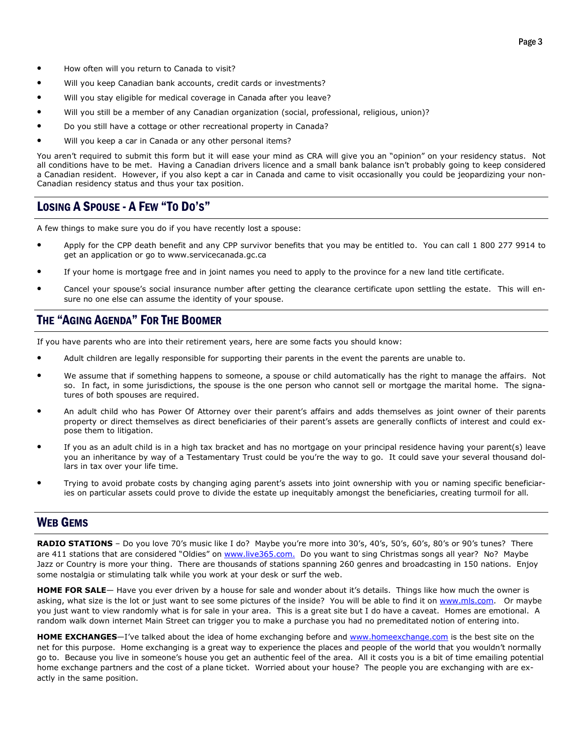- How often will you return to Canada to visit?
- Will you keep Canadian bank accounts, credit cards or investments?
- Will you stay eligible for medical coverage in Canada after you leave?
- Will you still be a member of any Canadian organization (social, professional, religious, union)?
- Do you still have a cottage or other recreational property in Canada?
- Will you keep a car in Canada or any other personal items?

You aren't required to submit this form but it will ease your mind as CRA will give you an "opinion" on your residency status. Not all conditions have to be met. Having a Canadian drivers licence and a small bank balance isn't probably going to keep considered a Canadian resident. However, if you also kept a car in Canada and came to visit occasionally you could be jeopardizing your non-Canadian residency status and thus your tax position.

## LOSING A SPOUSE - A FEW "TO DO'S"

A few things to make sure you do if you have recently lost a spouse:

- Apply for the CPP death benefit and any CPP survivor benefits that you may be entitled to. You can call 1 800 277 9914 to get an application or go to www.servicecanada.gc.ca
- If your home is mortgage free and in joint names you need to apply to the province for a new land title certificate.
- Cancel your spouse's social insurance number after getting the clearance certificate upon settling the estate. This will ensure no one else can assume the identity of your spouse.

## THE "AGING AGENDA" FOR THE BOOMER

If you have parents who are into their retirement years, here are some facts you should know:

- Adult children are legally responsible for supporting their parents in the event the parents are unable to.
- We assume that if something happens to someone, a spouse or child automatically has the right to manage the affairs. Not so. In fact, in some jurisdictions, the spouse is the one person who cannot sell or mortgage the marital home. The signatures of both spouses are required.
- An adult child who has Power Of Attorney over their parent's affairs and adds themselves as joint owner of their parents property or direct themselves as direct beneficiaries of their parent's assets are generally conflicts of interest and could expose them to litigation.
- If you as an adult child is in a high tax bracket and has no mortgage on your principal residence having your parent(s) leave you an inheritance by way of a Testamentary Trust could be you're the way to go. It could save your several thousand dollars in tax over your life time.
- Trying to avoid probate costs by changing aging parent's assets into joint ownership with you or naming specific beneficiaries on particular assets could prove to divide the estate up inequitably amongst the beneficiaries, creating turmoil for all.

#### WEB GEMS

RADIO STATIONS - Do you love 70's music like I do? Maybe you're more into 30's, 40's, 50's, 60's, 80's or 90's tunes? There are 411 stations that are considered "Oldies" on www.live365.com. Do you want to sing Christmas songs all year? No? Maybe Jazz or Country is more your thing. There are thousands of stations spanning 260 genres and broadcasting in 150 nations. Enjoy some nostalgia or stimulating talk while you work at your desk or surf the web.

HOME FOR SALE- Have you ever driven by a house for sale and wonder about it's details. Things like how much the owner is asking, what size is the lot or just want to see some pictures of the inside? You will be able to find it on www.mls.com. Or maybe you just want to view randomly what is for sale in your area. This is a great site but I do have a caveat. Homes are emotional. A random walk down internet Main Street can trigger you to make a purchase you had no premeditated notion of entering into.

HOME EXCHANGES-I've talked about the idea of home exchanging before and www.homeexchange.com is the best site on the net for this purpose. Home exchanging is a great way to experience the places and people of the world that you wouldn't normally go to. Because you live in someone's house you get an authentic feel of the area. All it costs you is a bit of time emailing potential home exchange partners and the cost of a plane ticket. Worried about your house? The people you are exchanging with are exactly in the same position.